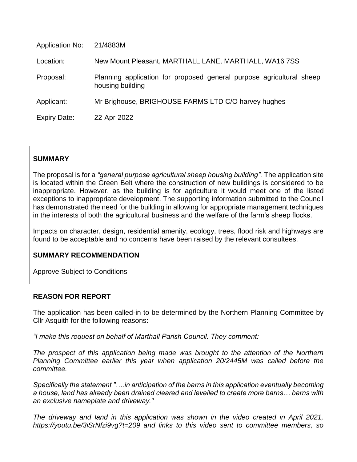| <b>Application No:</b> | 21/4883M                                                                                 |
|------------------------|------------------------------------------------------------------------------------------|
| Location:              | New Mount Pleasant, MARTHALL LANE, MARTHALL, WA16 7SS                                    |
| Proposal:              | Planning application for proposed general purpose agricultural sheep<br>housing building |
| Applicant:             | Mr Brighouse, BRIGHOUSE FARMS LTD C/O harvey hughes                                      |
| <b>Expiry Date:</b>    | 22-Apr-2022                                                                              |

# **SUMMARY**

The proposal is for a *"general purpose agricultural sheep housing building".* The application site is located within the Green Belt where the construction of new buildings is considered to be inappropriate. However, as the building is for agriculture it would meet one of the listed exceptions to inappropriate development. The supporting information submitted to the Council has demonstrated the need for the building in allowing for appropriate management techniques in the interests of both the agricultural business and the welfare of the farm's sheep flocks.

Impacts on character, design, residential amenity, ecology, trees, flood risk and highways are found to be acceptable and no concerns have been raised by the relevant consultees.

## **SUMMARY RECOMMENDATION**

Approve Subject to Conditions

## **REASON FOR REPORT**

The application has been called-in to be determined by the Northern Planning Committee by Cllr Asquith for the following reasons:

*"I make this request on behalf of Marthall Parish Council. They comment:*

*The prospect of this application being made was brought to the attention of the Northern Planning Committee earlier this year when application 20/2445M was called before the committee.*

*Specifically the statement "….in anticipation of the barns in this application eventually becoming a house, land has already been drained cleared and levelled to create more barns… barns with an exclusive nameplate and driveway."*

*The driveway and land in this application was shown in the video created in April 2021, https://youtu.be/3iSrNfzi9vg?t=209 and links to this video sent to committee members, so*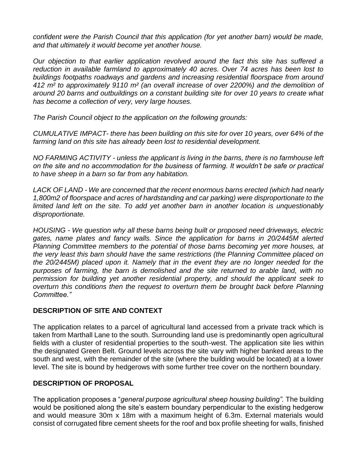*confident were the Parish Council that this application (for yet another barn) would be made, and that ultimately it would become yet another house.*

*Our objection to that earlier application revolved around the fact this site has suffered a reduction in available farmland to approximately 40 acres. Over 74 acres has been lost to buildings footpaths roadways and gardens and increasing residential floorspace from around 412 m² to approximately 9110 m² (an overall increase of over 2200%) and the demolition of around 20 barns and outbuildings on a constant building site for over 10 years to create what has become a collection of very, very large houses.*

*The Parish Council object to the application on the following grounds:*

*CUMULATIVE IMPACT- there has been building on this site for over 10 years, over 64% of the farming land on this site has already been lost to residential development.* 

*NO FARMING ACTIVITY - unless the applicant is living in the barns, there is no farmhouse left on the site and no accommodation for the business of farming. It wouldn't be safe or practical to have sheep in a barn so far from any habitation.*

*LACK OF LAND - We are concerned that the recent enormous barns erected (which had nearly 1,800m2 of floorspace and acres of hardstanding and car parking) were disproportionate to the limited land left on the site. To add yet another barn in another location is unquestionably disproportionate.*

*HOUSING - We question why all these barns being built or proposed need driveways, electric gates, name plates and fancy walls. Since the application for barns in 20/2445M alerted Planning Committee members to the potential of those barns becoming yet more houses, at the very least this barn should have the same restrictions (the Planning Committee placed on the 20/2445M) placed upon it. Namely that in the event they are no longer needed for the purposes of farming, the barn is demolished and the site returned to arable land, with no permission for building yet another residential property, and should the applicant seek to overturn this conditions then the request to overturn them be brought back before Planning Committee."*

# **DESCRIPTION OF SITE AND CONTEXT**

The application relates to a parcel of agricultural land accessed from a private track which is taken from Marthall Lane to the south. Surrounding land use is predominantly open agricultural fields with a cluster of residential properties to the south-west. The application site lies within the designated Green Belt. Ground levels across the site vary with higher banked areas to the south and west, with the remainder of the site (where the building would be located) at a lower level. The site is bound by hedgerows with some further tree cover on the northern boundary.

# **DESCRIPTION OF PROPOSAL**

The application proposes a "*general purpose agricultural sheep housing building".* The building would be positioned along the site's eastern boundary perpendicular to the existing hedgerow and would measure 30m x 18m with a maximum height of 6.3m. External materials would consist of corrugated fibre cement sheets for the roof and box profile sheeting for walls, finished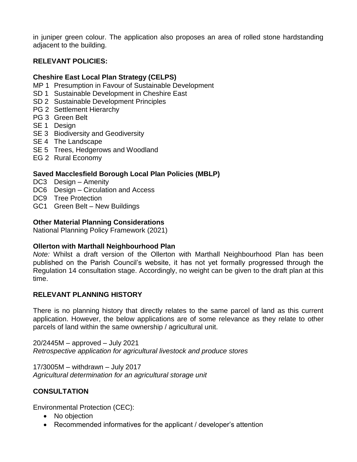in juniper green colour. The application also proposes an area of rolled stone hardstanding adjacent to the building.

# **RELEVANT POLICIES:**

### **Cheshire East Local Plan Strategy (CELPS)**

- MP 1 Presumption in Favour of Sustainable Development
- SD 1 Sustainable Development in Cheshire East
- SD 2 Sustainable Development Principles
- PG 2 Settlement Hierarchy
- PG 3 Green Belt
- SE<sub>1</sub> Design
- SE 3 Biodiversity and Geodiversity
- SE 4 The Landscape
- SE 5 Trees, Hedgerows and Woodland
- EG 2 Rural Economy

### **Saved Macclesfield Borough Local Plan Policies (MBLP)**

- DC3 Design Amenity
- DC6 Design Circulation and Access
- DC9 Tree Protection
- GC1 Green Belt New Buildings

### **Other Material Planning Considerations**

National Planning Policy Framework (2021)

#### **Ollerton with Marthall Neighbourhood Plan**

*Note:* Whilst a draft version of the Ollerton with Marthall Neighbourhood Plan has been published on the Parish Council's website, it has not yet formally progressed through the Regulation 14 consultation stage. Accordingly, no weight can be given to the draft plan at this time.

## **RELEVANT PLANNING HISTORY**

There is no planning history that directly relates to the same parcel of land as this current application. However, the below applications are of some relevance as they relate to other parcels of land within the same ownership / agricultural unit.

20/2445M – approved – July 2021 *Retrospective application for agricultural livestock and produce stores*

17/3005M – withdrawn – July 2017 *Agricultural determination for an agricultural storage unit*

## **CONSULTATION**

Environmental Protection (CEC):

- No objection
- Recommended informatives for the applicant / developer's attention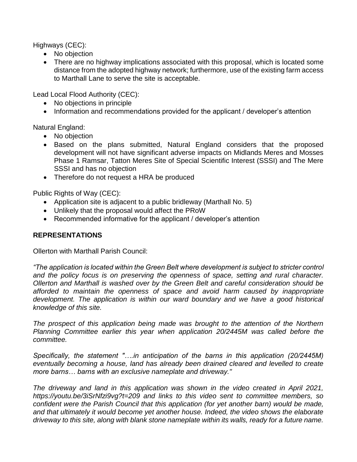Highways (CEC):

- No objection
- There are no highway implications associated with this proposal, which is located some distance from the adopted highway network; furthermore, use of the existing farm access to Marthall Lane to serve the site is acceptable.

Lead Local Flood Authority (CEC):

- No objections in principle
- Information and recommendations provided for the applicant / developer's attention

Natural England:

- No objection
- Based on the plans submitted, Natural England considers that the proposed development will not have significant adverse impacts on Midlands Meres and Mosses Phase 1 Ramsar, Tatton Meres Site of Special Scientific Interest (SSSI) and The Mere SSSI and has no objection
- Therefore do not request a HRA be produced

Public Rights of Way (CEC):

- Application site is adjacent to a public bridleway (Marthall No. 5)
- Unlikely that the proposal would affect the PRoW
- Recommended informative for the applicant / developer's attention

# **REPRESENTATIONS**

Ollerton with Marthall Parish Council:

*"The application is located within the Green Belt where development is subject to stricter control and the policy focus is on preserving the openness of space, setting and rural character. Ollerton and Marthall is washed over by the Green Belt and careful consideration should be afforded to maintain the openness of space and avoid harm caused by inappropriate development. The application is within our ward boundary and we have a good historical knowledge of this site.*

*The prospect of this application being made was brought to the attention of the Northern Planning Committee earlier this year when application 20/2445M was called before the committee.*

*Specifically, the statement "….in anticipation of the barns in this application (20/2445M) eventually becoming a house, land has already been drained cleared and levelled to create more barns… barns with an exclusive nameplate and driveway."*

*The driveway and land in this application was shown in the video created in April 2021, https://youtu.be/3iSrNfzi9vg?t=209 and links to this video sent to committee members, so confident were the Parish Council that this application (for yet another barn) would be made, and that ultimately it would become yet another house. Indeed, the video shows the elaborate driveway to this site, along with blank stone nameplate within its walls, ready for a future name.*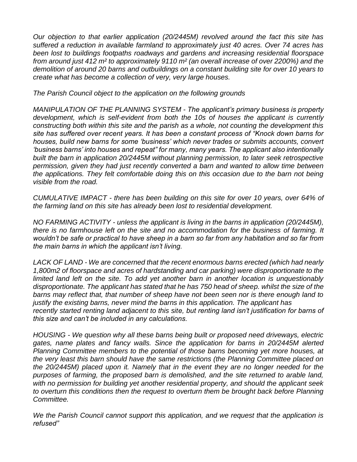*Our objection to that earlier application (20/2445M) revolved around the fact this site has suffered a reduction in available farmland to approximately just 40 acres. Over 74 acres has been lost to buildings footpaths roadways and gardens and increasing residential floorspace from around just 412 m² to approximately 9110 m² (an overall increase of over 2200%) and the demolition of around 20 barns and outbuildings on a constant building site for over 10 years to create what has become a collection of very, very large houses.*

*The Parish Council object to the application on the following grounds*

*MANIPULATION OF THE PLANNING SYSTEM - The applicant's primary business is property development, which is self-evident from both the 10s of houses the applicant is currently constructing both within this site and the parish as a whole, not counting the development this site has suffered over recent years. It has been a constant process of "Knock down barns for houses, build new barns for some 'business' which never trades or submits accounts, convert 'business barns' into houses and repeat" for many, many years. The applicant also intentionally built the barn in application 20/2445M without planning permission, to later seek retrospective permission, given they had just recently converted a barn and wanted to allow time between the applications. They felt comfortable doing this on this occasion due to the barn not being visible from the road.*

*CUMULATIVE IMPACT - there has been building on this site for over 10 years, over 64% of the farming land on this site has already been lost to residential development.*

*NO FARMING ACTIVITY - unless the applicant is living in the barns in application (20/2445M), there is no farmhouse left on the site and no accommodation for the business of farming. It wouldn't be safe or practical to have sheep in a barn so far from any habitation and so far from the main barns in which the applicant isn't living.*

*LACK OF LAND - We are concerned that the recent enormous barns erected (which had nearly 1,800m2 of floorspace and acres of hardstanding and car parking) were disproportionate to the limited land left on the site. To add yet another barn in another location is unquestionably disproportionate. The applicant has stated that he has 750 head of sheep. whilst the size of the barns may reflect that, that number of sheep have not been seen nor is there enough land to justify the existing barns, never mind the barns in this application. The applicant has recently started renting land adjacent to this site, but renting land isn't justification for barns of this size and can't be included in any calculations.*

*HOUSING - We question why all these barns being built or proposed need driveways, electric gates, name plates and fancy walls. Since the application for barns in 20/2445M alerted Planning Committee members to the potential of those barns becoming yet more houses, at the very least this barn should have the same restrictions (the Planning Committee placed on the 20/2445M) placed upon it. Namely that in the event they are no longer needed for the purposes of farming, the proposed barn is demolished, and the site returned to arable land, with no permission for building yet another residential property, and should the applicant seek to overturn this conditions then the request to overturn them be brought back before Planning Committee.*

*We the Parish Council cannot support this application, and we request that the application is refused"*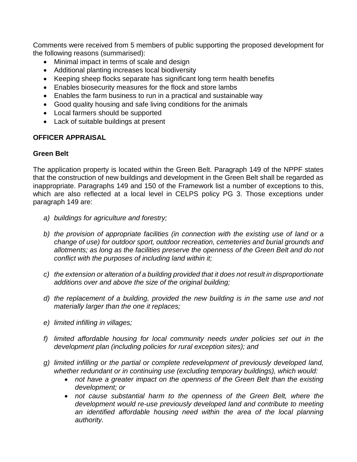Comments were received from 5 members of public supporting the proposed development for the following reasons (summarised):

- Minimal impact in terms of scale and design
- Additional planting increases local biodiversity
- Keeping sheep flocks separate has significant long term health benefits
- Enables biosecurity measures for the flock and store lambs
- Enables the farm business to run in a practical and sustainable way
- Good quality housing and safe living conditions for the animals
- Local farmers should be supported
- Lack of suitable buildings at present

## **OFFICER APPRAISAL**

## **Green Belt**

The application property is located within the Green Belt. Paragraph 149 of the NPPF states that the construction of new buildings and development in the Green Belt shall be regarded as inappropriate. Paragraphs 149 and 150 of the Framework list a number of exceptions to this, which are also reflected at a local level in CELPS policy PG 3. Those exceptions under paragraph 149 are:

- *a) buildings for agriculture and forestry;*
- *b) the provision of appropriate facilities (in connection with the existing use of land or a change of use) for outdoor sport, outdoor recreation, cemeteries and burial grounds and allotments; as long as the facilities preserve the openness of the Green Belt and do not conflict with the purposes of including land within it;*
- *c) the extension or alteration of a building provided that it does not result in disproportionate additions over and above the size of the original building;*
- *d) the replacement of a building, provided the new building is in the same use and not materially larger than the one it replaces;*
- *e) limited infilling in villages;*
- *f) limited affordable housing for local community needs under policies set out in the development plan (including policies for rural exception sites); and*
- *g) limited infilling or the partial or complete redevelopment of previously developed land, whether redundant or in continuing use (excluding temporary buildings), which would:*
	- not have a greater impact on the openness of the Green Belt than the existing *development; or*
	- not cause substantial harm to the openness of the Green Belt, where the *development would re-use previously developed land and contribute to meeting*  an identified affordable housing need within the area of the local planning *authority.*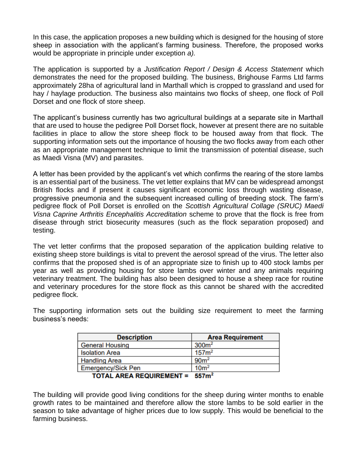In this case, the application proposes a new building which is designed for the housing of store sheep in association with the applicant's farming business. Therefore, the proposed works would be appropriate in principle under exception *a).* 

The application is supported by a *Justification Report / Design & Access Statement* which demonstrates the need for the proposed building. The business, Brighouse Farms Ltd farms approximately 28ha of agricultural land in Marthall which is cropped to grassland and used for hay / haylage production. The business also maintains two flocks of sheep, one flock of Poll Dorset and one flock of store sheep.

The applicant's business currently has two agricultural buildings at a separate site in Marthall that are used to house the pedigree Poll Dorset flock, however at present there are no suitable facilities in place to allow the store sheep flock to be housed away from that flock. The supporting information sets out the importance of housing the two flocks away from each other as an appropriate management technique to limit the transmission of potential disease, such as Maedi Visna (MV) and parasites.

A letter has been provided by the applicant's vet which confirms the rearing of the store lambs is an essential part of the business. The vet letter explains that MV can be widespread amongst British flocks and if present it causes significant economic loss through wasting disease, progressive pneumonia and the subsequent increased culling of breeding stock. The farm's pedigree flock of Poll Dorset is enrolled on the *Scottish Agricultural Collage (SRUC) Maedi Visna Caprine Arthritis Encephalitis Accreditation* scheme to prove that the flock is free from disease through strict biosecurity measures (such as the flock separation proposed) and testing.

The vet letter confirms that the proposed separation of the application building relative to existing sheep store buildings is vital to prevent the aerosol spread of the virus. The letter also confirms that the proposed shed is of an appropriate size to finish up to 400 stock lambs per year as well as providing housing for store lambs over winter and any animals requiring veterinary treatment. The building has also been designed to house a sheep race for routine and veterinary procedures for the store flock as this cannot be shared with the accredited pedigree flock.

The supporting information sets out the building size requirement to meet the farming business's needs:

| <b>Description</b>              | <b>Area Requirement</b> |
|---------------------------------|-------------------------|
| <b>General Housing</b>          | 300 <sup>m²</sup>       |
| <b>Isolation Area</b>           | 157 <sup>m²</sup>       |
| <b>Handling Area</b>            | 90 <sup>m²</sup>        |
| <b>Emergency/Sick Pen</b>       | 10 <sup>m²</sup>        |
| <b>TOTAL AREA REQUIREMENT =</b> | 557 <sup>2</sup>        |

The building will provide good living conditions for the sheep during winter months to enable growth rates to be maintained and therefore allow the store lambs to be sold earlier in the season to take advantage of higher prices due to low supply. This would be beneficial to the farming business.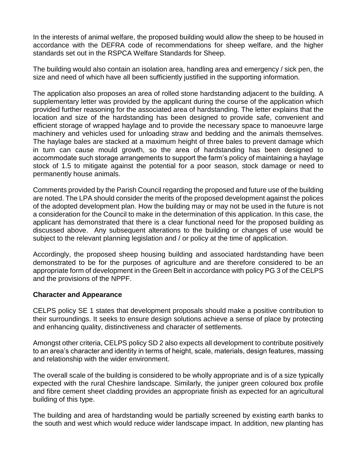In the interests of animal welfare, the proposed building would allow the sheep to be housed in accordance with the DEFRA code of recommendations for sheep welfare, and the higher standards set out in the RSPCA Welfare Standards for Sheep.

The building would also contain an isolation area, handling area and emergency / sick pen, the size and need of which have all been sufficiently justified in the supporting information.

The application also proposes an area of rolled stone hardstanding adjacent to the building. A supplementary letter was provided by the applicant during the course of the application which provided further reasoning for the associated area of hardstanding. The letter explains that the location and size of the hardstanding has been designed to provide safe, convenient and efficient storage of wrapped haylage and to provide the necessary space to manoeuvre large machinery and vehicles used for unloading straw and bedding and the animals themselves. The haylage bales are stacked at a maximum height of three bales to prevent damage which in turn can cause mould growth, so the area of hardstanding has been designed to accommodate such storage arrangements to support the farm's policy of maintaining a haylage stock of 1.5 to mitigate against the potential for a poor season, stock damage or need to permanently house animals.

Comments provided by the Parish Council regarding the proposed and future use of the building are noted. The LPA should consider the merits of the proposed development against the polices of the adopted development plan. How the building may or may not be used in the future is not a consideration for the Council to make in the determination of this application. In this case, the applicant has demonstrated that there is a clear functional need for the proposed building as discussed above. Any subsequent alterations to the building or changes of use would be subject to the relevant planning legislation and / or policy at the time of application.

Accordingly, the proposed sheep housing building and associated hardstanding have been demonstrated to be for the purposes of agriculture and are therefore considered to be an appropriate form of development in the Green Belt in accordance with policy PG 3 of the CELPS and the provisions of the NPPF.

## **Character and Appearance**

CELPS policy SE 1 states that development proposals should make a positive contribution to their surroundings. It seeks to ensure design solutions achieve a sense of place by protecting and enhancing quality, distinctiveness and character of settlements.

Amongst other criteria, CELPS policy SD 2 also expects all development to contribute positively to an area's character and identity in terms of height, scale, materials, design features, massing and relationship with the wider environment.

The overall scale of the building is considered to be wholly appropriate and is of a size typically expected with the rural Cheshire landscape. Similarly, the juniper green coloured box profile and fibre cement sheet cladding provides an appropriate finish as expected for an agricultural building of this type.

The building and area of hardstanding would be partially screened by existing earth banks to the south and west which would reduce wider landscape impact. In addition, new planting has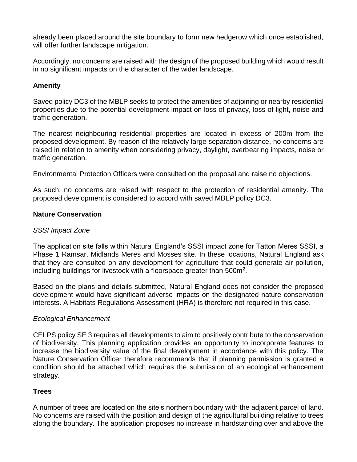already been placed around the site boundary to form new hedgerow which once established, will offer further landscape mitigation.

Accordingly, no concerns are raised with the design of the proposed building which would result in no significant impacts on the character of the wider landscape.

# **Amenity**

Saved policy DC3 of the MBLP seeks to protect the amenities of adjoining or nearby residential properties due to the potential development impact on loss of privacy, loss of light, noise and traffic generation.

The nearest neighbouring residential properties are located in excess of 200m from the proposed development. By reason of the relatively large separation distance, no concerns are raised in relation to amenity when considering privacy, daylight, overbearing impacts, noise or traffic generation.

Environmental Protection Officers were consulted on the proposal and raise no objections.

As such, no concerns are raised with respect to the protection of residential amenity. The proposed development is considered to accord with saved MBLP policy DC3.

### **Nature Conservation**

### *SSSI Impact Zone*

The application site falls within Natural England's SSSI impact zone for Tatton Meres SSSI, a Phase 1 Ramsar, Midlands Meres and Mosses site. In these locations, Natural England ask that they are consulted on any development for agriculture that could generate air pollution, including buildings for livestock with a floorspace greater than 500 $m^2$ .

Based on the plans and details submitted, Natural England does not consider the proposed development would have significant adverse impacts on the designated nature conservation interests. A Habitats Regulations Assessment (HRA) is therefore not required in this case.

## *Ecological Enhancement*

CELPS policy SE 3 requires all developments to aim to positively contribute to the conservation of biodiversity. This planning application provides an opportunity to incorporate features to increase the biodiversity value of the final development in accordance with this policy. The Nature Conservation Officer therefore recommends that if planning permission is granted a condition should be attached which requires the submission of an ecological enhancement strategy.

## **Trees**

A number of trees are located on the site's northern boundary with the adjacent parcel of land. No concerns are raised with the position and design of the agricultural building relative to trees along the boundary. The application proposes no increase in hardstanding over and above the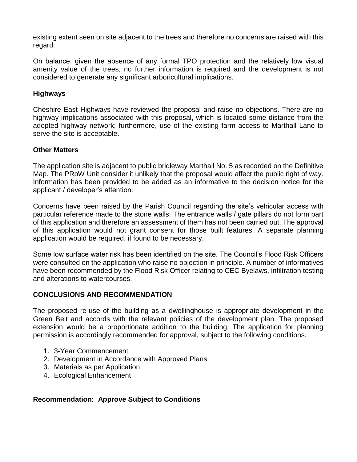existing extent seen on site adjacent to the trees and therefore no concerns are raised with this regard.

On balance, given the absence of any formal TPO protection and the relatively low visual amenity value of the trees, no further information is required and the development is not considered to generate any significant arboricultural implications.

# **Highways**

Cheshire East Highways have reviewed the proposal and raise no objections. There are no highway implications associated with this proposal, which is located some distance from the adopted highway network; furthermore, use of the existing farm access to Marthall Lane to serve the site is acceptable.

### **Other Matters**

The application site is adjacent to public bridleway Marthall No. 5 as recorded on the Definitive Map. The PRoW Unit consider it unlikely that the proposal would affect the public right of way. Information has been provided to be added as an informative to the decision notice for the applicant / developer's attention.

Concerns have been raised by the Parish Council regarding the site's vehicular access with particular reference made to the stone walls. The entrance walls / gate pillars do not form part of this application and therefore an assessment of them has not been carried out. The approval of this application would not grant consent for those built features. A separate planning application would be required, if found to be necessary.

Some low surface water risk has been identified on the site. The Council's Flood Risk Officers were consulted on the application who raise no objection in principle. A number of informatives have been recommended by the Flood Risk Officer relating to CEC Byelaws, infiltration testing and alterations to watercourses.

## **CONCLUSIONS AND RECOMMENDATION**

The proposed re-use of the building as a dwellinghouse is appropriate development in the Green Belt and accords with the relevant policies of the development plan. The proposed extension would be a proportionate addition to the building. The application for planning permission is accordingly recommended for approval, subject to the following conditions.

- 1. 3-Year Commencement
- 2. Development in Accordance with Approved Plans
- 3. Materials as per Application
- 4. Ecological Enhancement

## **Recommendation: Approve Subject to Conditions**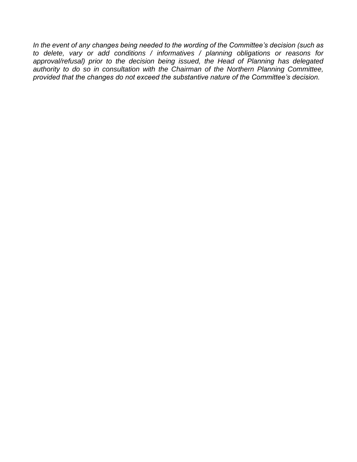*In the event of any changes being needed to the wording of the Committee's decision (such as to delete, vary or add conditions / informatives / planning obligations or reasons for approval/refusal) prior to the decision being issued, the Head of Planning has delegated authority to do so in consultation with the Chairman of the Northern Planning Committee, provided that the changes do not exceed the substantive nature of the Committee's decision.*